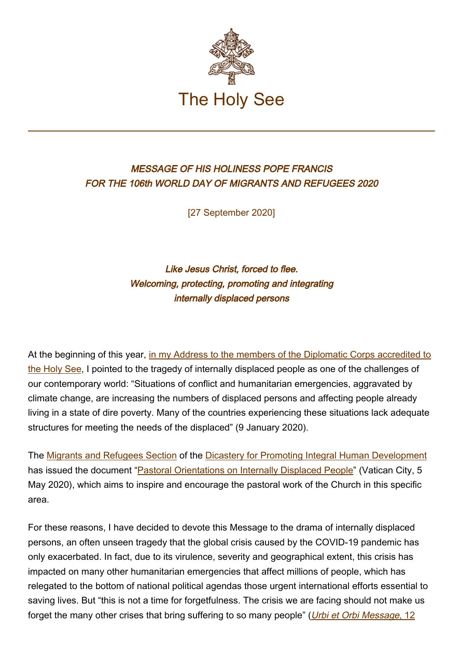

## MESSAGE OF HIS HOLINESS POPE FRANCIS FOR THE 106th WORLD DAY OF MIGRANTS AND REFUGEES 2020

[27 September 2020]

Like Jesus Christ, forced to flee. Welcoming, protecting, promoting and integrating internally displaced persons

At the beginning of this year, [in my Address to the members of the Diplomatic Corps accredited to](http://w2.vatican.va/content/francesco/en/speeches/2020/january/documents/papa-francesco_20200109_corpo-diplomatico.html) [the Holy See,](http://w2.vatican.va/content/francesco/en/speeches/2020/january/documents/papa-francesco_20200109_corpo-diplomatico.html) I pointed to the tragedy of internally displaced people as one of the challenges of our contemporary world: "Situations of conflict and humanitarian emergencies, aggravated by climate change, are increasing the numbers of displaced persons and affecting people already living in a state of dire poverty. Many of the countries experiencing these situations lack adequate structures for meeting the needs of the displaced" (9 January 2020).

The [Migrants and Refugees Section](https://migrants-refugees.va/en/idp/) of the [Dicastery for Promoting Integral Human Development](http://www.humandevelopment.va/en.html) has issued the document "[Pastoral Orientations on Internally Displaced People"](https://migrants-refugees.va/wp-content/uploads/2020/05/1.-Read-On-Screen-A5-EN-.pdf) (Vatican City, 5 May 2020), which aims to inspire and encourage the pastoral work of the Church in this specific area.

For these reasons, I have decided to devote this Message to the drama of internally displaced persons, an often unseen tragedy that the global crisis caused by the COVID-19 pandemic has only exacerbated. In fact, due to its virulence, severity and geographical extent, this crisis has impacted on many other humanitarian emergencies that affect millions of people, which has relegated to the bottom of national political agendas those urgent international efforts essential to saving lives. But "this is not a time for forgetfulness. The crisis we are facing should not make us forget the many other crises that bring suffering to so many people" (Urbi et Orbi Message[, 12](http://www.vatican.va/content/francesco/en/messages/urbi/documents/papa-francesco_20200412_urbi-et-orbi-pasqua.html)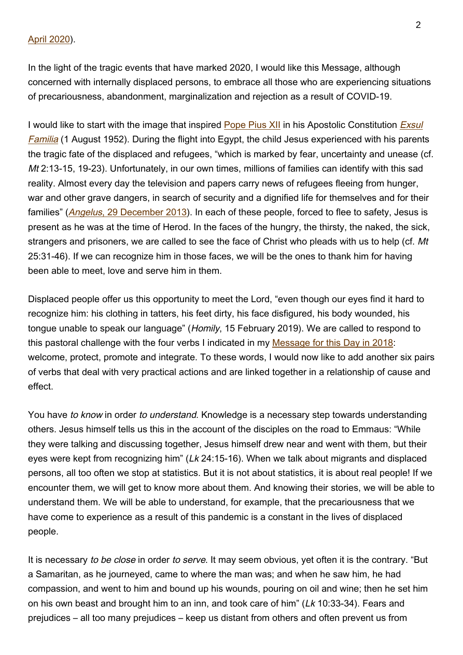## [April 2020](http://www.vatican.va/content/francesco/en/messages/urbi/documents/papa-francesco_20200412_urbi-et-orbi-pasqua.html)).

In the light of the tragic events that have marked 2020, I would like this Message, although concerned with internally displaced persons, to embrace all those who are experiencing situations of precariousness, abandonment, marginalization and rejection as a result of COVID-19.

I would like to start with the image that inspired [Pope Pius XII](http://w2.vatican.va/content/pius-xii/en.html) in his Apostolic Constitution *[Exsul](http://www.vatican.va/content/pius-xii/la/apost_constitutions/documents/hf_p-xii_apc_19520801_exsul-familia.html)* [Familia](http://www.vatican.va/content/pius-xii/la/apost_constitutions/documents/hf_p-xii_apc_19520801_exsul-familia.html) (1 August 1952). During the flight into Egypt, the child Jesus experienced with his parents the tragic fate of the displaced and refugees, "which is marked by fear, uncertainty and unease (cf. Mt 2:13-15, 19-23). Unfortunately, in our own times, millions of families can identify with this sad reality. Almost every day the television and papers carry news of refugees fleeing from hunger, war and other grave dangers, in search of security and a dignified life for themselves and for their families" (*Angelus*[, 29 December 2013\)](http://www.vatican.va/content/francesco/en/angelus/2013/documents/papa-francesco_angelus_20131229.html). In each of these people, forced to flee to safety, Jesus is present as he was at the time of Herod. In the faces of the hungry, the thirsty, the naked, the sick, strangers and prisoners, we are called to see the face of Christ who pleads with us to help (cf. Mt 25:31-46). If we can recognize him in those faces, we will be the ones to thank him for having been able to meet, love and serve him in them.

Displaced people offer us this opportunity to meet the Lord, "even though our eyes find it hard to recognize him: his clothing in tatters, his feet dirty, his face disfigured, his body wounded, his tongue unable to speak our language" (Homily, 15 February 2019). We are called to respond to this pastoral challenge with the four verbs I indicated in my [Message for this Day in 2018](http://www.vatican.va/content/francesco/en/messages/migration/documents/papa-francesco_20170815_world-migrants-day-2018.html): welcome, protect, promote and integrate. To these words, I would now like to add another six pairs of verbs that deal with very practical actions and are linked together in a relationship of cause and effect.

You have to know in order to understand. Knowledge is a necessary step towards understanding others. Jesus himself tells us this in the account of the disciples on the road to Emmaus: "While they were talking and discussing together, Jesus himself drew near and went with them, but their eyes were kept from recognizing him" (Lk 24:15-16). When we talk about migrants and displaced persons, all too often we stop at statistics. But it is not about statistics, it is about real people! If we encounter them, we will get to know more about them. And knowing their stories, we will be able to understand them. We will be able to understand, for example, that the precariousness that we have come to experience as a result of this pandemic is a constant in the lives of displaced people.

It is necessary to be close in order to serve. It may seem obvious, yet often it is the contrary. "But a Samaritan, as he journeyed, came to where the man was; and when he saw him, he had compassion, and went to him and bound up his wounds, pouring on oil and wine; then he set him on his own beast and brought him to an inn, and took care of him" (Lk 10:33-34). Fears and prejudices – all too many prejudices – keep us distant from others and often prevent us from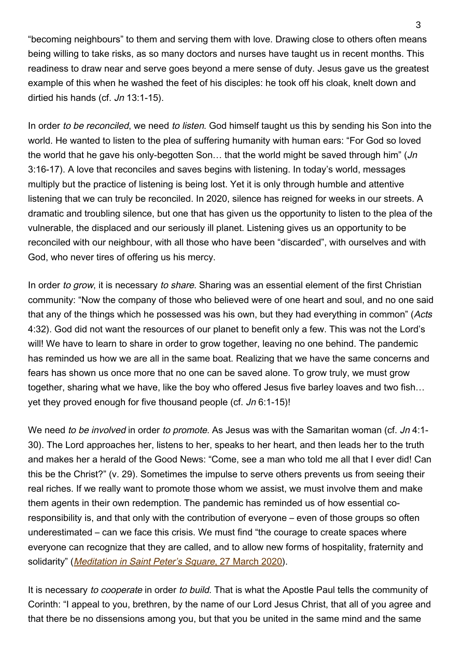"becoming neighbours" to them and serving them with love. Drawing close to others often means being willing to take risks, as so many doctors and nurses have taught us in recent months. This readiness to draw near and serve goes beyond a mere sense of duty. Jesus gave us the greatest example of this when he washed the feet of his disciples: he took off his cloak, knelt down and dirtied his hands (cf. Jn 13:1-15).

In order to be reconciled, we need to listen. God himself taught us this by sending his Son into the world. He wanted to listen to the plea of suffering humanity with human ears: "For God so loved the world that he gave his only-begotten Son... that the world might be saved through him" ( $Jn$ ) 3:16-17). A love that reconciles and saves begins with listening. In today's world, messages multiply but the practice of listening is being lost. Yet it is only through humble and attentive listening that we can truly be reconciled. In 2020, silence has reigned for weeks in our streets. A dramatic and troubling silence, but one that has given us the opportunity to listen to the plea of the vulnerable, the displaced and our seriously ill planet. Listening gives us an opportunity to be reconciled with our neighbour, with all those who have been "discarded", with ourselves and with God, who never tires of offering us his mercy.

In order to grow, it is necessary to share. Sharing was an essential element of the first Christian community: "Now the company of those who believed were of one heart and soul, and no one said that any of the things which he possessed was his own, but they had everything in common" (Acts 4:32). God did not want the resources of our planet to benefit only a few. This was not the Lord's will! We have to learn to share in order to grow together, leaving no one behind. The pandemic has reminded us how we are all in the same boat. Realizing that we have the same concerns and fears has shown us once more that no one can be saved alone. To grow truly, we must grow together, sharing what we have, like the boy who offered Jesus five barley loaves and two fish… yet they proved enough for five thousand people (cf. Jn 6:1-15)!

We need to be involved in order to promote. As Jesus was with the Samaritan woman (cf. Jn 4:1-30). The Lord approaches her, listens to her, speaks to her heart, and then leads her to the truth and makes her a herald of the Good News: "Come, see a man who told me all that I ever did! Can this be the Christ?" (v. 29). Sometimes the impulse to serve others prevents us from seeing their real riches. If we really want to promote those whom we assist, we must involve them and make them agents in their own redemption. The pandemic has reminded us of how essential coresponsibility is, and that only with the contribution of everyone – even of those groups so often underestimated – can we face this crisis. We must find "the courage to create spaces where everyone can recognize that they are called, and to allow new forms of hospitality, fraternity and solidarity" (*Meditation in Saint Peter's Square, 27 March 2020*).

It is necessary to cooperate in order to build. That is what the Apostle Paul tells the community of Corinth: "I appeal to you, brethren, by the name of our Lord Jesus Christ, that all of you agree and that there be no dissensions among you, but that you be united in the same mind and the same